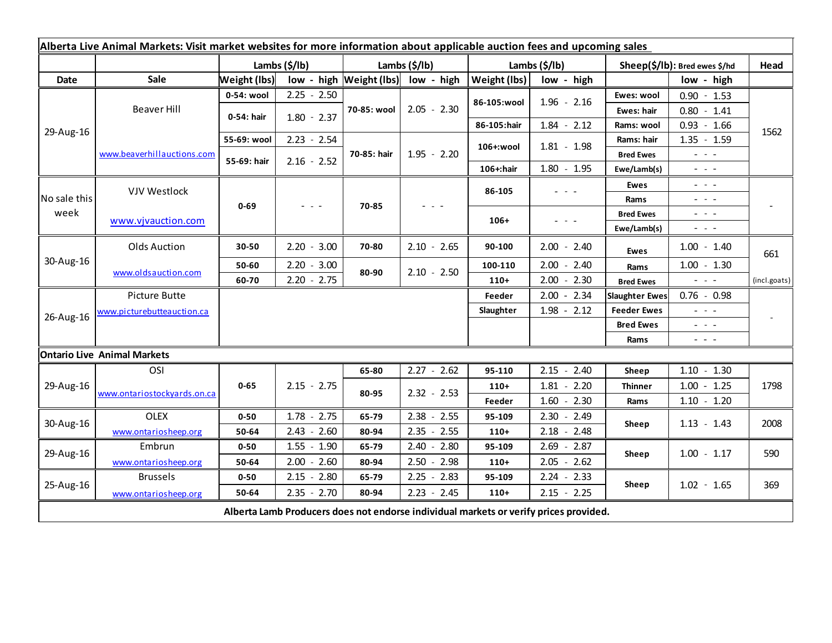| Alberta Live Animal Markets: Visit market websites for more information about applicable auction fees and upcoming sales |                             |               |               |               |                                    |               |                                                                                       |                               |                                                                                                                           |              |
|--------------------------------------------------------------------------------------------------------------------------|-----------------------------|---------------|---------------|---------------|------------------------------------|---------------|---------------------------------------------------------------------------------------|-------------------------------|---------------------------------------------------------------------------------------------------------------------------|--------------|
|                                                                                                                          |                             | Lambs (\$/lb) |               | Lambs (\$/lb) |                                    | Lambs (\$/lb) |                                                                                       | Sheep(\$/lb): Bred ewes \$/hd |                                                                                                                           | Head         |
| <b>Date</b>                                                                                                              | Sale                        | Weight (lbs)  |               |               | low - high Weight (lbs) low - high | Weight (lbs)  | low - high                                                                            |                               | low - high                                                                                                                |              |
| 29-Aug-16                                                                                                                | Beaver Hill                 | 0-54: wool    | $2.25 - 2.50$ | 70-85: wool   | $2.05 - 2.30$                      | 86-105:wool   | $1.96 - 2.16$                                                                         | Ewes: wool                    | $0.90 - 1.53$                                                                                                             | 1562         |
|                                                                                                                          |                             | 0-54: hair    | $1.80 - 2.37$ |               |                                    |               |                                                                                       | Ewes: hair                    | $0.80 - 1.41$                                                                                                             |              |
|                                                                                                                          |                             |               |               |               |                                    | 86-105:hair   | $1.84 - 2.12$                                                                         | Rams: wool                    | $0.93 - 1.66$                                                                                                             |              |
|                                                                                                                          | www.beaverhillauctions.com  | 55-69: wool   | $2.23 - 2.54$ | 70-85: hair   | $1.95 - 2.20$                      | 106+:wool     | $1.81 - 1.98$                                                                         | Rams: hair                    | $1.35 - 1.59$                                                                                                             |              |
|                                                                                                                          |                             | 55-69: hair   | $2.16 - 2.52$ |               |                                    |               |                                                                                       | <b>Bred Ewes</b>              | $\omega_{\rm{eff}}=0.02$                                                                                                  |              |
|                                                                                                                          |                             |               |               |               |                                    | 106+:hair     | $1.80 - 1.95$                                                                         | Ewe/Lamb(s)                   | $\frac{1}{2} \left( \frac{1}{2} \right) \left( \frac{1}{2} \right) \left( \frac{1}{2} \right)$                            |              |
| No sale this<br>week                                                                                                     | <b>VJV Westlock</b>         | $0 - 69$      |               | 70-85         |                                    | 86-105        | $\omega_{\rm{eff}}$ and $\omega_{\rm{eff}}$                                           | Ewes                          | $\sim$ 100 $\sim$                                                                                                         |              |
|                                                                                                                          |                             |               |               |               |                                    |               |                                                                                       | Rams                          | - - -                                                                                                                     |              |
|                                                                                                                          | www.vjvauction.com          |               |               |               |                                    | $106+$        | - - -                                                                                 | <b>Bred Ewes</b>              | - - -                                                                                                                     |              |
|                                                                                                                          |                             |               |               |               |                                    |               |                                                                                       | Ewe/Lamb(s)                   | $\frac{1}{2} \left( \frac{1}{2} \right) \left( \frac{1}{2} \right) \left( \frac{1}{2} \right) \left( \frac{1}{2} \right)$ |              |
| 30-Aug-16                                                                                                                | <b>Olds Auction</b>         | 30-50         | $2.20 - 3.00$ | 70-80         | $2.10 - 2.65$                      | 90-100        | $2.00 - 2.40$                                                                         | <b>Ewes</b>                   | $1.00 - 1.40$                                                                                                             | 661          |
|                                                                                                                          | www.oldsauction.com         | 50-60         | $2.20 - 3.00$ | 80-90         | $2.10 - 2.50$                      | 100-110       | $2.00 - 2.40$                                                                         | Rams                          | $1.00 - 1.30$                                                                                                             |              |
|                                                                                                                          |                             | 60-70         | $2.20 - 2.75$ |               |                                    | $110+$        | $2.00 - 2.30$                                                                         | <b>Bred Ewes</b>              | $\omega_{\rm{eff}}$ and $\omega_{\rm{eff}}$                                                                               | (incl.goats) |
| 26-Aug-16                                                                                                                | Picture Butte               |               |               |               |                                    | Feeder        | $2.00 - 2.34$                                                                         | <b>Slaughter Ewes</b>         | $0.76 - 0.98$                                                                                                             |              |
|                                                                                                                          | www.picturebutteauction.ca  |               |               |               |                                    | Slaughter     | $1.98 - 2.12$                                                                         | <b>Feeder Ewes</b>            | - - -                                                                                                                     |              |
|                                                                                                                          |                             |               |               |               |                                    |               |                                                                                       | <b>Bred Ewes</b>              | $\omega_{\rm{eff}}$ and $\omega_{\rm{eff}}$                                                                               |              |
|                                                                                                                          |                             |               |               |               |                                    |               |                                                                                       | Rams                          | - - -                                                                                                                     |              |
| <b>Ontario Live Animal Markets</b>                                                                                       |                             |               |               |               |                                    |               |                                                                                       |                               |                                                                                                                           |              |
| 29-Aug-16                                                                                                                | OSI                         |               |               | 65-80         | $2.27 - 2.62$                      | 95-110        | $2.15 - 2.40$                                                                         | Sheep                         | $1.10 - 1.30$                                                                                                             |              |
|                                                                                                                          | www.ontariostockyards.on.ca | $0 - 65$      | $2.15 - 2.75$ | 80-95         | $2.32 - 2.53$                      | $110+$        | $1.81 - 2.20$                                                                         | <b>Thinner</b>                | $1.00 - 1.25$                                                                                                             | 1798         |
|                                                                                                                          |                             |               |               |               |                                    | Feeder        | $1.60 - 2.30$                                                                         | Rams                          | $1.10 - 1.20$                                                                                                             |              |
| 30-Aug-16                                                                                                                | <b>OLEX</b>                 | $0 - 50$      | $1.78 - 2.75$ | 65-79         | $2.38 - 2.55$                      | 95-109        | $2.30 - 2.49$                                                                         | Sheep                         | $1.13 - 1.43$                                                                                                             | 2008         |
|                                                                                                                          | www.ontariosheep.org        | 50-64         | $2.43 - 2.60$ | 80-94         | $2.35 - 2.55$                      | $110+$        | $2.18 - 2.48$                                                                         |                               |                                                                                                                           |              |
| 29-Aug-16                                                                                                                | Embrun                      | $0 - 50$      | $1.55 - 1.90$ | 65-79         | $2.40 - 2.80$                      | 95-109        | $2.69 - 2.87$                                                                         | Sheep                         | $1.00 - 1.17$                                                                                                             | 590          |
|                                                                                                                          | www.ontariosheep.org        | 50-64         | $2.00 - 2.60$ | 80-94         | $2.50 - 2.98$                      | $110+$        | $2.05 - 2.62$                                                                         |                               |                                                                                                                           |              |
| 25-Aug-16                                                                                                                | <b>Brussels</b>             | $0 - 50$      | $2.15 - 2.80$ | 65-79         | $2.25 - 2.83$                      | 95-109        | $2.24 - 2.33$                                                                         | Sheep                         | $1.02 - 1.65$                                                                                                             | 369          |
|                                                                                                                          | www.ontariosheep.org        | 50-64         | $2.35 - 2.70$ | 80-94         | $2.23 - 2.45$                      | $110+$        | $2.15 - 2.25$                                                                         |                               |                                                                                                                           |              |
|                                                                                                                          |                             |               |               |               |                                    |               | Alberta Lamb Producers does not endorse individual markets or verify prices provided. |                               |                                                                                                                           |              |